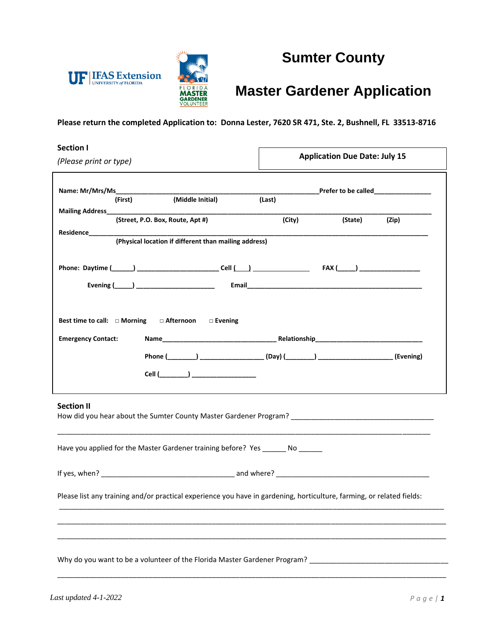



# **Sumter County**

## **Master Gardener Application**

**Please return the completed Application to: Donna Lester, 7620 SR 471, Ste. 2, Bushnell, FL 33513-8716**

| <b>Section I</b><br>(Please print or type)                                                                                                                                                | <b>Application Due Date: July 15</b> |  |  |  |
|-------------------------------------------------------------------------------------------------------------------------------------------------------------------------------------------|--------------------------------------|--|--|--|
| (Middle Initial)<br>(First)                                                                                                                                                               | (Last)                               |  |  |  |
| Mailing Address____________<br>(Street, P.O. Box, Route, Apt #)<br>(Physical location if different than mailing address)                                                                  | (City)<br>(Zip)<br>(State)           |  |  |  |
|                                                                                                                                                                                           |                                      |  |  |  |
| □ Afternoon<br>Best time to call: $\Box$ Morning<br>$\Box$ Evening<br><b>Emergency Contact:</b><br>Phone (________) ____________________(Day) (________) _______________________(Evening) |                                      |  |  |  |
| <b>Section II</b><br>How did you hear about the Sumter County Master Gardener Program? [1986] The County County County County County                                                      |                                      |  |  |  |
| Have you applied for the Master Gardener training before? Yes ________ No ______                                                                                                          |                                      |  |  |  |
|                                                                                                                                                                                           |                                      |  |  |  |
| Please list any training and/or practical experience you have in gardening, horticulture, farming, or related fields:                                                                     |                                      |  |  |  |
| Why do you want to be a volunteer of the Florida Master Gardener Program?                                                                                                                 |                                      |  |  |  |

\_\_\_\_\_\_\_\_\_\_\_\_\_\_\_\_\_\_\_\_\_\_\_\_\_\_\_\_\_\_\_\_\_\_\_\_\_\_\_\_\_\_\_\_\_\_\_\_\_\_\_\_\_\_\_\_\_\_\_\_\_\_\_\_\_\_\_\_\_\_\_\_\_\_\_\_\_\_\_\_\_\_\_\_\_\_\_\_\_\_\_\_\_\_\_\_\_\_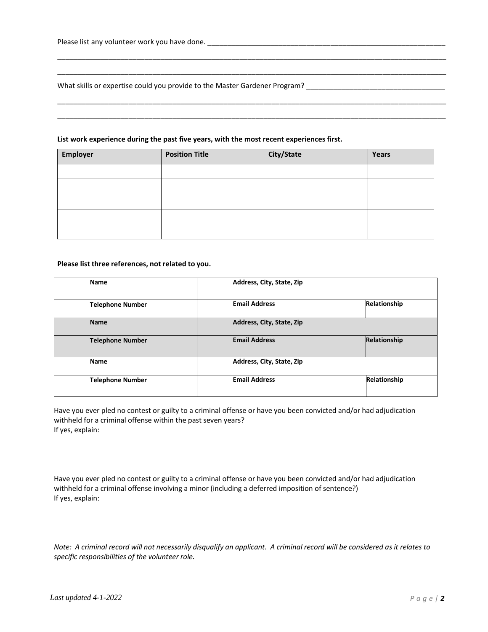What skills or expertise could you provide to the Master Gardener Program?

#### **List work experience during the past five years, with the most recent experiences first.**

| Employer | <b>Position Title</b> | City/State | Years |
|----------|-----------------------|------------|-------|
|          |                       |            |       |
|          |                       |            |       |
|          |                       |            |       |
|          |                       |            |       |
|          |                       |            |       |

\_\_\_\_\_\_\_\_\_\_\_\_\_\_\_\_\_\_\_\_\_\_\_\_\_\_\_\_\_\_\_\_\_\_\_\_\_\_\_\_\_\_\_\_\_\_\_\_\_\_\_\_\_\_\_\_\_\_\_\_\_\_\_\_\_\_\_\_\_\_\_\_\_\_\_\_\_\_\_\_\_\_\_\_\_\_\_\_\_\_\_\_\_\_\_\_\_\_ \_\_\_\_\_\_\_\_\_\_\_\_\_\_\_\_\_\_\_\_\_\_\_\_\_\_\_\_\_\_\_\_\_\_\_\_\_\_\_\_\_\_\_\_\_\_\_\_\_\_\_\_\_\_\_\_\_\_\_\_\_\_\_\_\_\_\_\_\_\_\_\_\_\_\_\_\_\_\_\_\_\_\_\_\_\_\_\_\_\_\_\_\_\_\_\_\_\_

\_\_\_\_\_\_\_\_\_\_\_\_\_\_\_\_\_\_\_\_\_\_\_\_\_\_\_\_\_\_\_\_\_\_\_\_\_\_\_\_\_\_\_\_\_\_\_\_\_\_\_\_\_\_\_\_\_\_\_\_\_\_\_\_\_\_\_\_\_\_\_\_\_\_\_\_\_\_\_\_\_\_\_\_\_\_\_\_\_\_\_\_\_\_\_\_\_\_ \_\_\_\_\_\_\_\_\_\_\_\_\_\_\_\_\_\_\_\_\_\_\_\_\_\_\_\_\_\_\_\_\_\_\_\_\_\_\_\_\_\_\_\_\_\_\_\_\_\_\_\_\_\_\_\_\_\_\_\_\_\_\_\_\_\_\_\_\_\_\_\_\_\_\_\_\_\_\_\_\_\_\_\_\_\_\_\_\_\_\_\_\_\_\_\_\_\_

#### **Please list three references, not related to you.**

| <b>Name</b>             | Address, City, State, Zip |              |
|-------------------------|---------------------------|--------------|
| <b>Telephone Number</b> | <b>Email Address</b>      | Relationship |
| <b>Name</b>             | Address, City, State, Zip |              |
| <b>Telephone Number</b> | <b>Email Address</b>      | Relationship |
| <b>Name</b>             | Address, City, State, Zip |              |
| <b>Telephone Number</b> | <b>Email Address</b>      | Relationship |

Have you ever pled no contest or guilty to a criminal offense or have you been convicted and/or had adjudication withheld for a criminal offense within the past seven years? If yes, explain:

Have you ever pled no contest or guilty to a criminal offense or have you been convicted and/or had adjudication withheld for a criminal offense involving a minor (including a deferred imposition of sentence?) If yes, explain:

*Note: A criminal record will not necessarily disqualify an applicant. A criminal record will be considered as it relates to specific responsibilities of the volunteer role.*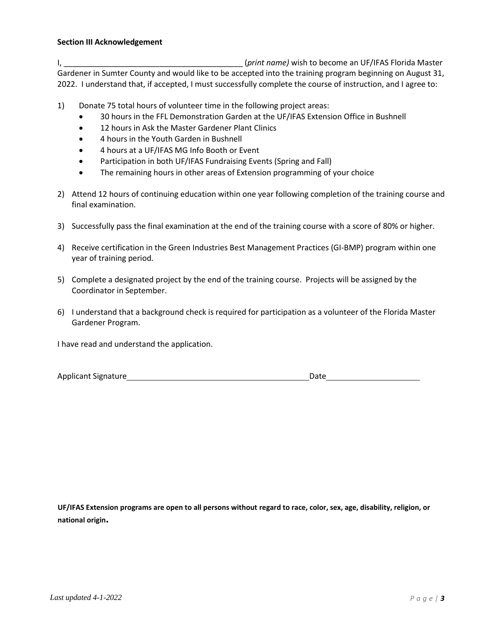### **Section III Acknowledgement**

I, \_\_\_\_\_\_\_\_\_\_\_\_\_\_\_\_\_\_\_\_\_\_\_\_\_\_\_\_\_\_\_\_\_\_\_\_\_\_\_\_\_ (*print name)* wish to become an UF/IFAS Florida Master Gardener in Sumter County and would like to be accepted into the training program beginning on August 31, 2022. I understand that, if accepted, I must successfully complete the course of instruction, and I agree to:

- 1) Donate 75 total hours of volunteer time in the following project areas:
	- 30 hours in the FFL Demonstration Garden at the UF/IFAS Extension Office in Bushnell
	- 12 hours in Ask the Master Gardener Plant Clinics
	- 4 hours in the Youth Garden in Bushnell
	- 4 hours at a UF/IFAS MG Info Booth or Event
	- Participation in both UF/IFAS Fundraising Events (Spring and Fall)
	- The remaining hours in other areas of Extension programming of your choice
- 2) Attend 12 hours of continuing education within one year following completion of the training course and final examination.
- 3) Successfully pass the final examination at the end of the training course with a score of 80% or higher.
- 4) Receive certification in the Green Industries Best Management Practices (GI-BMP) program within one year of training period.
- 5) Complete a designated project by the end of the training course. Projects will be assigned by the Coordinator in September.
- 6) I understand that a background check is required for participation as a volunteer of the Florida Master Gardener Program.

I have read and understand the application.

Applicant Signature **Date** Date **Date** Date **Date** 

**UF/IFAS Extension programs are open to all persons without regard to race, color, sex, age, disability, religion, or national origin.**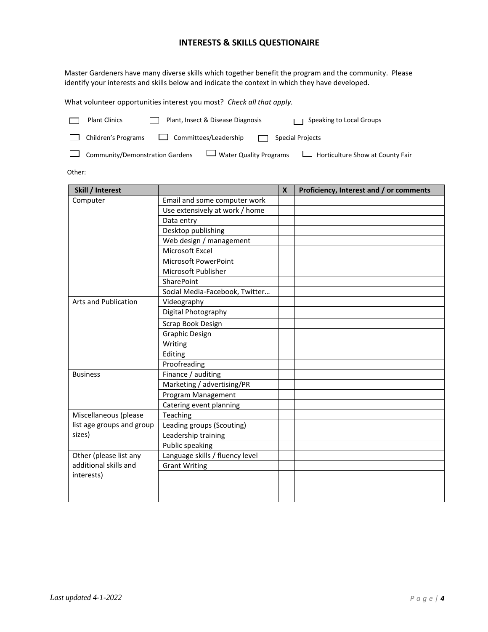### **INTERESTS & SKILLS QUESTIONAIRE**

Master Gardeners have many diverse skills which together benefit the program and the community. Please identify your interests and skills below and indicate the context in which they have developed.

What volunteer opportunities interest you most? *Check all that apply.*

| <b>Plant Clinics</b>                   | Plant, Insect & Disease Diagnosis | Speaking to Local Groups                |
|----------------------------------------|-----------------------------------|-----------------------------------------|
| $\Box$ Children's Programs             | Committees/Leadership<br>$\Box$   | <b>Special Projects</b>                 |
| $\Box$ Community/Demonstration Gardens | $\Box$ Water Quality Programs     | $\Box$ Horticulture Show at County Fair |

Other:

| Skill / Interest                              |                                 | $\boldsymbol{x}$ | Proficiency, Interest and / or comments |
|-----------------------------------------------|---------------------------------|------------------|-----------------------------------------|
| Computer                                      | Email and some computer work    |                  |                                         |
|                                               | Use extensively at work / home  |                  |                                         |
|                                               | Data entry                      |                  |                                         |
|                                               | Desktop publishing              |                  |                                         |
|                                               | Web design / management         |                  |                                         |
|                                               | Microsoft Excel                 |                  |                                         |
|                                               | Microsoft PowerPoint            |                  |                                         |
|                                               | Microsoft Publisher             |                  |                                         |
|                                               | SharePoint                      |                  |                                         |
|                                               | Social Media-Facebook, Twitter  |                  |                                         |
| Arts and Publication                          | Videography                     |                  |                                         |
|                                               | Digital Photography             |                  |                                         |
|                                               | Scrap Book Design               |                  |                                         |
|                                               | <b>Graphic Design</b>           |                  |                                         |
|                                               | Writing                         |                  |                                         |
|                                               | Editing                         |                  |                                         |
|                                               | Proofreading                    |                  |                                         |
| <b>Business</b>                               | Finance / auditing              |                  |                                         |
|                                               | Marketing / advertising/PR      |                  |                                         |
|                                               | Program Management              |                  |                                         |
|                                               | Catering event planning         |                  |                                         |
| Miscellaneous (please                         | Teaching                        |                  |                                         |
| list age groups and group                     | Leading groups (Scouting)       |                  |                                         |
| sizes)                                        | Leadership training             |                  |                                         |
|                                               | Public speaking                 |                  |                                         |
| Other (please list any                        | Language skills / fluency level |                  |                                         |
| additional skills and<br><b>Grant Writing</b> |                                 |                  |                                         |
| interests)                                    |                                 |                  |                                         |
|                                               |                                 |                  |                                         |
|                                               |                                 |                  |                                         |